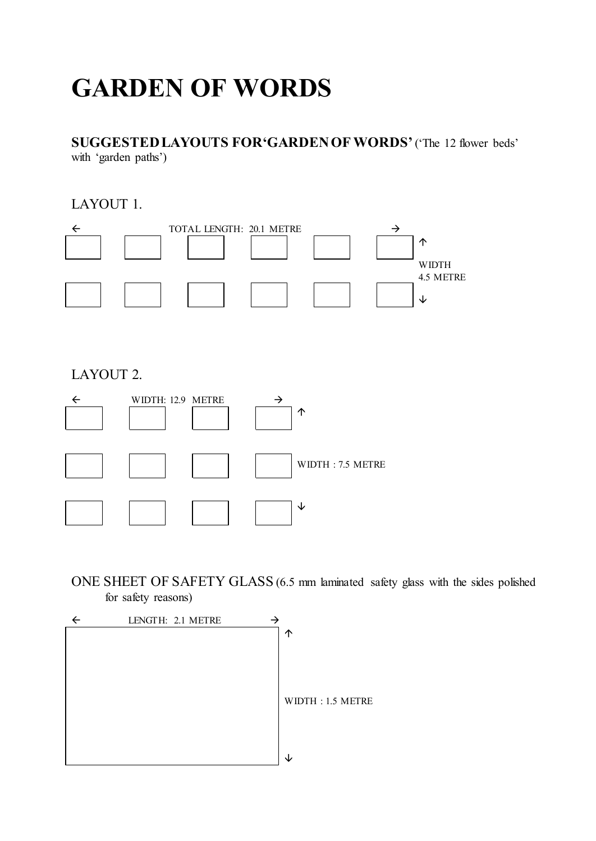# **GARDEN OF WORDS**

**SUGGESTED LAYOUTS FOR'GARDEN OF WORDS'** ('The 12 flower beds' with 'garden paths')

LAYOUT 1.



LAYOUT 2.



ONE SHEET OF SAFETY GLASS (6.5 mm laminated safety glass with the sides polished for safety reasons)

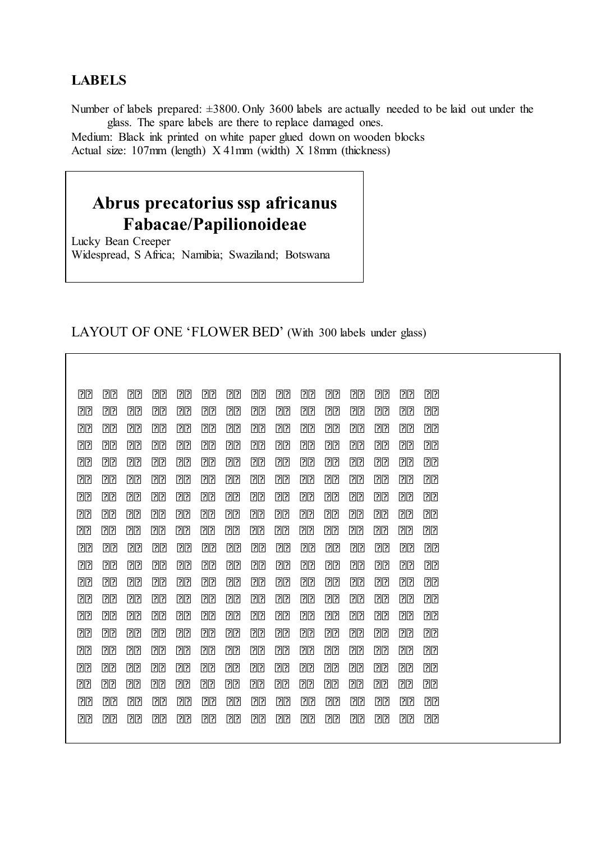#### **LABELS**

Number of labels prepared: ±3800. Only 3600 labels are actually needed to be laid out under the glass. The spare labels are there to replace damaged ones.

Medium: Black ink printed on white paper glued down on wooden blocks Actual size: 107mm (length) X 41mm (width) X 18mm (thickness)

## **Abrus precatorius ssp africanus Fabacae/Papilionoideae**

Lucky Bean Creeper Widespread, S Africa; Namibia; Swaziland; Botswana

#### LAYOUT OF ONE 'FLOWER BED' (With 300 labels under glass)

| 22             | <b>PP</b>      | [?][?]         | $\overline{?}$ | $\overline{?}$ | 22             | $\overline{?}$ | 22        | 22             | 22         | [?][?]         | 22        | [?][?]         | <b>PP</b> | 丽              |
|----------------|----------------|----------------|----------------|----------------|----------------|----------------|-----------|----------------|------------|----------------|-----------|----------------|-----------|----------------|
| 22             | <u> PP</u>     | 刚?             | <b>PP</b>      | 丽              | [?][?]         | 00             | <b>PR</b> | $\overline{?}$ | <u>PP</u>  | <u>pp</u>      | <u>pp</u> | <b>PR</b>      | <u>PP</u> | <u>pp</u>      |
| 00             | 00             | 00             | 22             | 22             | 00             | 00             | 22        | $\boxed{?}$    | 00         | 22             | 22        | 22             | 00        | 22             |
| 00             | [?][?]         | 刚?             | <u> PP</u>     | <b>PP</b>      |                | <b>PP</b>      | <b>PP</b> | $\overline{?}$ | <u> PP</u> | <u>PP</u>      | 00        | $\overline{?}$ | <u>PP</u> | 00             |
| 00             | <b>PR</b>      | <u>PP</u>      | 00             | <u>pp</u>      | 00             | 22             | [?][?]    | 22             | 00         | [?][?]         | ??        | [?][?]         | 22        | 22             |
| 22             | [?][?]         | <b>PP</b>      | 22             | 刚?             | 00             | 22             | 00        | [?][?]         | 20         | 20             | <u>PP</u> | 00             | 00        | 00             |
| 00             | 回?             | 00             | 团团             | <b>PR</b>      | 22             | 00             | 00        | <b>PR</b>      | 00         | 22             | [?][?]    | 13             | 22        | 22             |
| $\overline{2}$ | <u> PP</u>     | 13             | $\overline{?}$ | 22             | 00             | $\overline{2}$ | 00        | 22             | 22         | 22             | 00        | <u> PP</u>     | <u>PP</u> | 22             |
| 22             | [?][?]         | 丽              | 00             | 00             | 00             | 00             | 00        | 00             | 00         | 22             | 00        | 22             | 22        | 22             |
| 22             | 00             | 22             | 22             | $\overline{?}$ | 22             | 22             | [?][?]    | 22             | 22         | 22             | 22        | 20             | 00        | 00             |
| 22             | 22             | 刚?             | 00             | 丽              | 20             | <u> PP</u>     | 00        | 22             | 00         | <u>pp</u>      | <u>pp</u> | 00             | <u>PP</u> | 00             |
| 22             | 22             | $\overline{?}$ | 22             | 22             | 22             | 22             | 22        | $\boxed{?}$    | 22         | 22             | 22        | 22             | 22        | 22             |
| 22             | $\mathbb{R}$   | 刚?             | $\mathbb{R}$   | 00             | 00             | 00             | 00        | 20             | 00         | 刚?             | 00        | 00             | 00        | 00             |
| 00             | 00             | 00             | 00             | 00             | 00             | 00             | 22        | 22             | 00         | 00             | 22        | 00             | 00        | 00             |
| 22             | $\overline{?}$ | $\overline{?}$ | 22             | 刚?             | <u> PP</u>     | <b>PP</b>      | <b>PP</b> | 刚?             | 00         | 刚?             | <u>PP</u> |                | <b>PP</b> | 00             |
| $\overline{?}$ | 回?             | 丽              | 团团             | <u>PP</u>      | $\overline{?}$ | 刚              | <u>pp</u> | 22             | <u>PP</u>  | [?][?]         | 13        | 13             | ??        | $\overline{?}$ |
| 22             | 22             | 22             | $\overline{2}$ | 00             | 00             | 22             | 22        | 22             | 22         | 22             | 00        | <u> PP</u>     | 22        | 22             |
| 22             |                | $\mathbb{R}$   | 00             | 团团             | 00             | 00             | 00        | 00             | 00         | $\mathbb{R}$   | 00        | 22             | 22        | 22             |
| 22             | $\overline{?}$ | $\overline{?}$ | 22             | $\overline{?}$ | <b>PP</b>      | [?][?]         | 13        | [?][?]         | [?][?]     | $\overline{?}$ | <b>PP</b> | <u> PP</u>     | 刚?        | 00             |
| 00             | $\overline{?}$ | 刚?             | <u>PP</u>      | 刚?             | <u> PP</u>     | 刚?             | 回?        | 回?             | 回?         | <u>PP</u>      | <u>pp</u> | $\overline{?}$ | 回?        | 22             |
|                |                |                |                |                |                |                |           |                |            |                |           |                |           |                |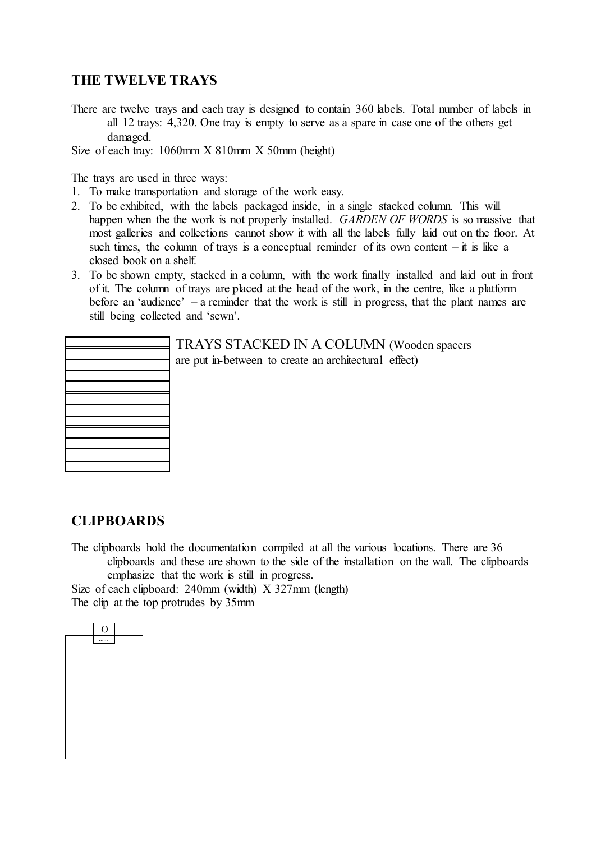#### **THE TWELVE TRAYS**

There are twelve trays and each tray is designed to contain 360 labels. Total number of labels in all 12 trays: 4,320. One tray is empty to serve as a spare in case one of the others get damaged.

Size of each tray: 1060mm X 810mm X 50mm (height)

The trays are used in three ways:

- 1. To make transportation and storage of the work easy.
- 2. To be exhibited, with the labels packaged inside, in a single stacked column. This will happen when the the work is not properly installed. *GARDEN OF WORDS* is so massive that most galleries and collections cannot show it with all the labels fully laid out on the floor. At such times, the column of trays is a conceptual reminder of its own content  $-$  it is like a closed book on a shelf.
- 3. To be shown empty, stacked in a column, with the work finally installed and laid out in front of it. The column of trays are placed at the head of the work, in the centre, like a platform before an 'audience' – a reminder that the work is still in progress, that the plant names are still being collected and 'sewn'.

|                                                                                                                      | the contract of the contract of the contract of the contract of the contract of the contract of the contract of |
|----------------------------------------------------------------------------------------------------------------------|-----------------------------------------------------------------------------------------------------------------|
|                                                                                                                      |                                                                                                                 |
|                                                                                                                      |                                                                                                                 |
|                                                                                                                      |                                                                                                                 |
| $\overline{\phantom{a}}$                                                                                             |                                                                                                                 |
|                                                                                                                      |                                                                                                                 |
|                                                                                                                      |                                                                                                                 |
|                                                                                                                      |                                                                                                                 |
|                                                                                                                      |                                                                                                                 |
|                                                                                                                      |                                                                                                                 |
|                                                                                                                      |                                                                                                                 |
|                                                                                                                      |                                                                                                                 |
|                                                                                                                      |                                                                                                                 |
|                                                                                                                      |                                                                                                                 |
|                                                                                                                      |                                                                                                                 |
| <u> Elizabeth Communication (Communication Communication Communication Communication Communication Communication</u> | $\overline{\phantom{a}}$                                                                                        |

TRAYS STACKED IN A COLUMN (Wooden spacers are put in-between to create an architectural effect)

#### **CLIPBOARDS**

The clipboards hold the documentation compiled at all the various locations. There are 36 clipboards and these are shown to the side of the installation on the wall. The clipboards emphasize that the work is still in progress.

Size of each clipboard: 240mm (width) X 327mm (length) The clip at the top protrudes by 35mm